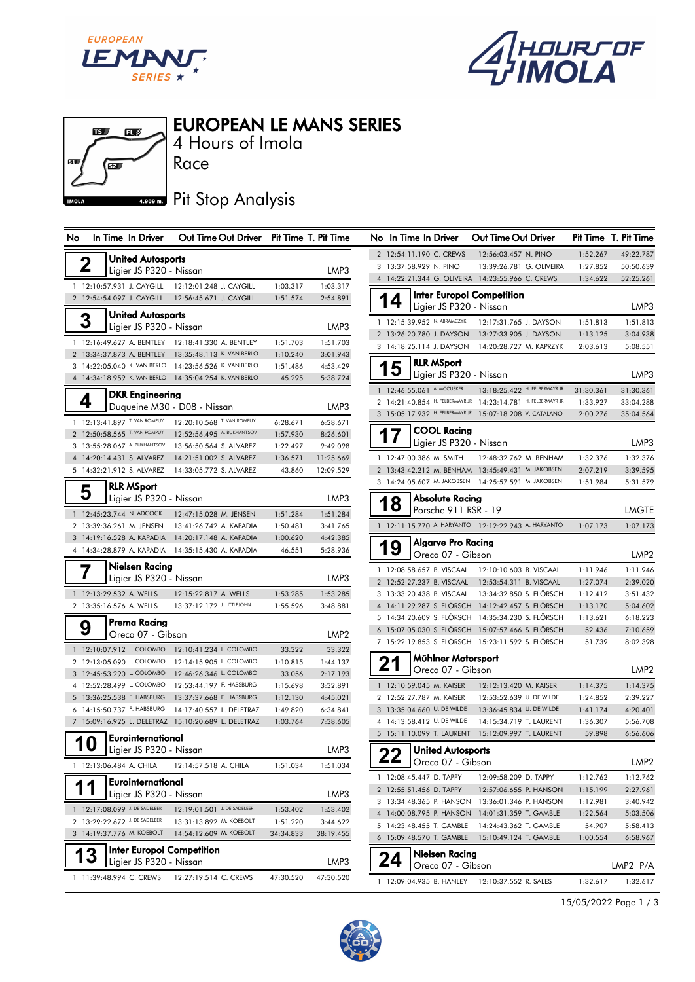





4 Hours of Imola EUROPEAN LE MANS SERIES

## **4.909 m.** Pit Stop Analysis

| No | In Time In Driver                                      | Out Time Out Driver Pit Time T. Pit Time              |                    |                      | No In Time In Driver                       | Out Time Out Driver                                                                                      |                      | Pit Time T. Pit Time |
|----|--------------------------------------------------------|-------------------------------------------------------|--------------------|----------------------|--------------------------------------------|----------------------------------------------------------------------------------------------------------|----------------------|----------------------|
|    | <b>United Autosports</b>                               |                                                       |                    |                      | 2 12:54:11.190 C. CREWS                    | 12:56:03.457 N. PINO                                                                                     | 1:52.267             | 49:22.787            |
|    | $\boldsymbol{2}$<br>Ligier JS P320 - Nissan            |                                                       |                    | LMP3                 | 3 13:37:58.929 N. PINO                     | 13:39:26.781 G. OLIVEIRA                                                                                 | 1:27.852             | 50:50.639            |
|    |                                                        |                                                       |                    |                      |                                            | 4 14:22:21.344 G. OLIVEIRA 14:23:55.966 C. CREWS                                                         | 1:34.622             | 52:25.261            |
|    | 1 12:10:57.931 J. CAYGILL                              | 12:12:01.248 J. CAYGILL                               | 1:03.317           | 1:03.317             |                                            | <b>Inter Europol Competition</b>                                                                         |                      |                      |
|    | 2 12:54:54.097 J. CAYGILL                              | 12:56:45.671 J. CAYGILL                               | 1:51.574           | 2:54.891             | 14<br>Ligier JS P320 - Nissan              |                                                                                                          |                      | LMP3                 |
|    | <b>United Autosports</b><br>3                          |                                                       |                    |                      | 1 12:15:39.952 N. ABRAMCZYK                | 12:17:31.765 J. DAYSON                                                                                   | 1:51.813             | 1:51.813             |
|    | Ligier JS P320 - Nissan                                |                                                       |                    | LMP3                 | 2 13:26:20.780 J. DAYSON                   | 13:27:33.905 J. DAYSON                                                                                   | 1:13.125             | 3:04.938             |
|    |                                                        | 1 12:16:49.627 A. BENTLEY 12:18:41.330 A. BENTLEY     | 1:51.703           | 1:51.703             | 3 14:18:25.114 J. DAYSON                   | 14:20:28.727 M. KAPRZYK                                                                                  | 2:03.613             | 5:08.551             |
|    |                                                        | 2 13:34:37.873 A. BENTLEY 13:35:48.113 K. VAN BERLO   | 1:10.240           | 3:01.943             |                                            |                                                                                                          |                      |                      |
|    |                                                        | 3 14:22:05.040 K. VAN BERLO 14:23:56.526 K. VAN BERLO | 1:51.486           | 4:53.429             | <b>RLR MSport</b><br>15                    |                                                                                                          |                      | LMP3                 |
|    |                                                        | 4 14:34:18.959 K. VAN BERLO 14:35:04.254 K. VAN BERLO | 45.295             | 5:38.724             | Ligier JS P320 - Nissan                    |                                                                                                          |                      |                      |
|    | <b>DKR</b> Engineering                                 |                                                       |                    |                      | 1 12:46:55.061 A. MCCUSKER                 | 13:18:25.422 H. FELBERMAYR JR                                                                            | 31:30.361            | 31:30.361            |
|    | 4                                                      | Duqueine M30 - D08 - Nissan                           |                    | LMP3                 |                                            | 2 14:21:40.854 H. FELBERMAYR JR 14:23:14.781 H. FELBERMAYR JR                                            | 1:33.927             | 33:04.288            |
|    | 1 12:13:41.897 T. VAN ROMPUY                           | 12:20:10.568 T. VAN ROMPUY                            | 6:28.671           | 6:28.671             |                                            | 3 15:05:17.932 H. FELBERMAYR JR 15:07:18.208 V. CATALANO                                                 | 2:00.276             | 35:04.564            |
|    | 2 12:50:58.565 T. VAN ROMPUY                           | 12:52:56.495 A. BUKHANTSOV                            | 1:57.930           | 8:26.601             | <b>COOL Racing</b><br>17                   |                                                                                                          |                      |                      |
|    | 3 13:55:28.067 A. BUKHANTSOV                           | 13:56:50.564 S. ALVAREZ                               | 1:22.497           | 9:49.098             | Ligier JS P320 - Nissan                    |                                                                                                          |                      | LMP3                 |
|    | 4 14:20:14.431 S. ALVAREZ                              | 14:21:51.002 S. ALVAREZ                               | 1:36.571           | 11:25.669            | 1 12:47:00.386 M. SMITH                    | 12:48:32.762 M. BENHAM                                                                                   | 1:32.376             | 1:32.376             |
|    | 5 14:32:21.912 S. ALVAREZ                              | 14:33:05.772 S. ALVAREZ                               | 43.860             | 12:09.529            |                                            | 2 13:43:42.212 M. BENHAM 13:45:49.431 M. JAKOBSEN                                                        | 2:07.219             | 3:39.595             |
|    | <b>RLR MSport</b>                                      |                                                       |                    |                      |                                            | 3 14:24:05.607 M. JAKOBSEN 14:25:57.591 M. JAKOBSEN                                                      | 1:51.984             | 5:31.579             |
|    | 5<br>Ligier JS P320 - Nissan                           |                                                       |                    | LMP3                 | <b>Absolute Racing</b>                     |                                                                                                          |                      |                      |
|    | 1 12:45:23.744 N. ADCOCK                               | 12:47:15.028 M. JENSEN                                | 1:51.284           | 1:51.284             | 18<br>Porsche 911 RSR - 19                 |                                                                                                          |                      | <b>LMGTE</b>         |
|    | 2 13:39:36.261 M. JENSEN                               | 13:41:26.742 A. KAPADIA                               | 1:50.481           | 3:41.765             |                                            | 1 12:11:15.770 A. HARYANTO 12:12:22.943 A. HARYANTO                                                      | 1:07.173             | 1:07.173             |
|    | 3 14:19:16.528 A. KAPADIA                              | 14:20:17.148 A. KAPADIA                               | 1:00.620           | 4:42.385             | <b>Algarve Pro Racing</b>                  |                                                                                                          |                      |                      |
|    |                                                        | 4 14:34:28.879 A. KAPADIA  14:35:15.430 A. KAPADIA    | 46.551             | 5:28.936             | 19<br>Oreca 07 - Gibson                    |                                                                                                          |                      | LMP <sub>2</sub>     |
|    | Nielsen Racing                                         |                                                       |                    |                      |                                            |                                                                                                          |                      |                      |
|    | Ligier JS P320 - Nissan                                |                                                       |                    | LMP3                 |                                            | 1 12:08:58.657 B. VISCAAL  12:10:10.603 B. VISCAAL<br>2 12:52:27.237 B. VISCAAL  12:53:54.311 B. VISCAAL | 1:11.946<br>1:27.074 | 1:11.946<br>2:39.020 |
|    | 1 12:13:29.532 A. WELLS                                | 12:15:22.817 A. WELLS                                 | 1:53.285           | 1:53.285             |                                            | 3 13:33:20.438 B. VISCAAL 13:34:32.850 S. FLÖRSCH                                                        | 1:12.412             | 3:51.432             |
|    | 2 13:35:16.576 A. WELLS                                | 13:37:12.172 J. LITTLEJOHN                            | 1:55.596           | 3:48.881             |                                            | 4 14:11:29.287 S. FLÖRSCH 14:12:42.457 S. FLÖRSCH                                                        | 1:13.170             | 5:04.602             |
|    |                                                        |                                                       |                    |                      |                                            | 5 14:34:20.609 S. FLÖRSCH 14:35:34.230 S. FLÖRSCH                                                        | 1:13.621             | 6:18.223             |
|    | Prema Racing<br>9                                      |                                                       |                    | LMP <sub>2</sub>     |                                            | 6 15:07:05.030 S. FLÖRSCH 15:07:57.466 S. FLÖRSCH                                                        | 52.436               | 7:10.659             |
|    | Oreca 07 - Gibson                                      |                                                       |                    |                      |                                            | 7 15:22:19.853 S. FLÖRSCH 15:23:11.592 S. FLÖRSCH                                                        | 51.739               | 8:02.398             |
|    |                                                        | 1 12:10:07.912 L. COLOMBO 12:10:41.234 L. COLOMBO     | 33.322             | 33.322               | Mühlner Motorsport                         |                                                                                                          |                      |                      |
|    | 2 12:13:05.090 L. COLOMBO                              | 12:14:15.905 L. COLOMBO                               | 1:10.815           | 1:44.137             | 21<br>Oreca 07 - Gibson                    |                                                                                                          |                      | LMP <sub>2</sub>     |
|    | 3 12:45:53.290 L. COLOMBO<br>4 12:52:28.499 L. COLOMBO | 12:46:26.346 L. COLOMBO<br>12:53:44.197 F. HABSBURG   | 33.056<br>1:15.698 | 2:17.193<br>3:32.891 | 1 12:10:59.045 M. KAISER                   | 12:12:13.420 M. KAISER                                                                                   | 1:14.375             | 1:14.375             |
|    | 5 13:36:25.538 F. HABSBURG                             | 13:37:37.668 F. HABSBURG                              | 1:12.130           | 4:45.021             | 2 12:52:27.787 M. KAISER                   | 12:53:52.639 U. DE WILDE                                                                                 | 1:24.852             | 2:39.227             |
|    | 6 14:15:50.737 F. HABSBURG                             | 14:17:40.557 L. DELETRAZ                              | 1:49.820           | 6:34.841             | 3 13:35:04.660 U. DE WILDE                 | 13:36:45.834 U. DE WILDE                                                                                 | 1:41.174             | 4:20.401             |
|    |                                                        | 7 15:09:16.925 L. DELETRAZ 15:10:20.689 L. DELETRAZ   | 1:03.764           | 7:38.605             | 4 14:13:58.412 U. DE WILDE                 | 14:15:34.719 T. LAURENT                                                                                  | 1:36.307             | 5:56.708             |
|    | Eurointernational                                      |                                                       |                    |                      | 5 15:11:10.099 T. LAURENT                  | 15:12:09.997 T. LAURENT                                                                                  | 59.898               | 6:56.606             |
|    | 10<br>Ligier JS P320 - Nissan                          |                                                       |                    | LMP3                 | <b>United Autosports</b>                   |                                                                                                          |                      |                      |
|    |                                                        |                                                       |                    |                      | クク<br>$\blacktriangle$   Oreca 07 - Gibson |                                                                                                          |                      | LMP <sub>2</sub>     |
|    | 1 12:13:06.484 A. CHILA                                | 12:14:57.518 A. CHILA                                 | 1:51.034           | 1:51.034             | 1 12:08:45.447 D. TAPPY                    | 12:09:58.209 D. TAPPY                                                                                    |                      |                      |
|    | Eurointernational                                      |                                                       |                    |                      | 2 12:55:51.456 D. TAPPY                    | 12:57:06.655 P. HANSON                                                                                   | 1:12.762<br>1:15.199 | 1:12.762<br>2:27.961 |
|    | Ligier JS P320 - Nissan                                |                                                       |                    | LMP3                 |                                            | 3 13:34:48.365 P. HANSON 13:36:01.346 P. HANSON                                                          | 1:12.981             | 3:40.942             |
|    | 1 12:17:08.099 J. DE SADELEER                          | 12:19:01.501 J. DE SADELEER                           | 1:53.402           | 1:53.402             |                                            | 4 14:00:08.795 P. HANSON 14:01:31.359 T. GAMBLE                                                          | 1:22.564             | 5:03.506             |
|    | 2 13:29:22.672 J. DE SADELEER                          | 13:31:13.892 M. KOEBOLT                               | 1:51.220           | 3:44.622             | 5 14:23:48.455 T. GAMBLE                   | 14:24:43.362 T. GAMBLE                                                                                   | 54.907               | 5:58.413             |
|    | 3 14:19:37.776 M. KOEBOLT                              | 14:54:12.609 M. KOEBOLT                               | 34:34.833          | 38:19.455            | 6 15:09:48.570 T. GAMBLE                   | 15:10:49.124 T. GAMBLE                                                                                   | 1:00.554             | 6:58.967             |
|    | <b>Inter Europol Competition</b>                       |                                                       |                    |                      | Nielsen Racing                             |                                                                                                          |                      |                      |
|    | Ligier JS P320 - Nissan                                |                                                       |                    | LMP3                 | 24<br>Oreca 07 - Gibson                    |                                                                                                          |                      | LMP2 $P/A$           |
|    | 1 11:39:48.994 C. CREWS                                | 12:27:19.514 C. CREWS                                 | 47:30.520          | 47:30.520            |                                            | 1 12:09:04.935 B. HANLEY 12:10:37.552 R. SALES                                                           | 1:32.617             | 1:32.617             |
|    |                                                        |                                                       |                    |                      |                                            |                                                                                                          |                      |                      |

| No                      |            | In Time In Driver                   | Out Time Out Driver              |           | Pit Time T. Pit Time |
|-------------------------|------------|-------------------------------------|----------------------------------|-----------|----------------------|
| $\overline{2}$          |            | 12:54:11.190 C. CREWS               | 12:56:03.457 N. PINO             | 1:52.267  | 49:22.787            |
| 3                       |            | 13:37:58.929 N. PINO                | 13:39:26.781 G. OLIVEIRA         | 1:27.852  | 50:50.639            |
|                         |            | 4 14:22:21.344 G. OLIVEIRA          | 14:23:55.966 C. CREWS            | 1:34.622  | 52:25.261            |
|                         |            |                                     | <b>Inter Europol Competition</b> |           |                      |
|                         |            | Ligier JS P320 - Nissan             |                                  |           | LMP3                 |
| 1                       |            | 12:15:39.952 N. ABRAMCZYK           | 12:17:31.765 J. DAYSON           | 1:51.813  | 1:51.813             |
| $\overline{2}$          |            | 13:26:20.780 J. DAYSON              | 13:27:33.905 J. DAYSON           | 1:13.125  | 3:04.938             |
| 3                       |            | 14:18:25.114 J. DAYSON              | 14:20:28.727 M. KAPRZYK          | 2:03.613  | 5:08.551             |
|                         |            | <b>RLR MSport</b>                   |                                  |           |                      |
|                         |            | Ligier JS P320 - Nissan             |                                  |           | LMP3                 |
| $\mathbf{1}$            |            | 12:46:55.061 A. MCCUSKER            | 13:18:25.422 H. FELBERMAYR JR    | 31:30.361 | 31:30.361            |
| $\overline{2}$          |            | 14:21:40.854 H. FELBERMAYR JR       | 14:23:14.781 H. FELBERMAYR JR    | 1:33.927  | 33:04.288            |
| 3                       |            | 15:05:17.932 H. FELBERMAYR JR       | 15:07:18.208 V. CATALANO         | 2:00.276  | 35:04.564            |
|                         |            |                                     |                                  |           |                      |
|                         |            | <b>COOL Racing</b>                  |                                  |           |                      |
|                         |            | Ligier JS P320 - Nissan             |                                  |           | LMP3                 |
| 1                       |            | 12:47:00.386 M. SMITH               | 12:48:32.762 M. BENHAM           | 1:32.376  | 1:32.376             |
| $\overline{2}$          |            | 13:43:42.212 M. BENHAM              | 13:45:49.431 M. JAKOBSEN         | 2:07.219  | 3:39.595             |
| 3                       |            | 14:24:05.607 M. JAKOBSEN            | 14:25:57.591 M. JAKOBSEN         | 1:51.984  | 5:31.579             |
|                         | 18         | Absolute Racing                     |                                  |           |                      |
|                         |            | Porsche 911 RSR - 19                |                                  |           | LMGTE                |
| 1                       |            | 12:11:15.770 A. HARYANTO            | 12:12:22.943 A. HARYANTO         | 1:07.173  | 1:07.173             |
|                         |            | Alaarve Pro Racina                  |                                  |           |                      |
|                         |            | Oreca 07 - Gibson                   |                                  |           | LMP2                 |
| 1                       |            | 12:08:58.657 B. VISCAAL             | 12:10:10.603 B. VISCAAL          | 1:11.946  | 1:11.946             |
| $\overline{2}$          |            | 12:52:27.237 B. VISCAAL             | 12:53:54.311 B. VISCAAL          | 1:27.074  | 2:39.020             |
| 3                       |            | 13:33:20.438 B. VISCAAL             | 13:34:32.850 S. FLÖRSCH          | 1:12.412  | 3:51.432             |
| $\overline{4}$          |            | 14:11:29.287 S. FLÖRSCH             | 14:12:42.457 S. FLÖRSCH          | 1:13.170  | 5:04.602             |
| 5                       |            | 14:34:20.609 S. FLÖRSCH             | 14:35:34.230 S. FLÖRSCH          | 1:13.621  | 6:18.223             |
| 6                       |            | 15:07:05.030 S. FLÖRSCH             | 15:07:57.466 S. FLÖRSCH          | 52.436    | 7:10.659             |
| 7                       |            | 15:22:19.853 S. FLÖRSCH             | 15:23:11.592 S. FLÖRSCH          | 51.739    | 8:02.398             |
|                         |            | Mühlner Motorsport                  |                                  |           |                      |
|                         | 21         | Oreca 07 - Gibson                   |                                  |           | LMP2                 |
| 1                       |            | 12:10:59.045 M. KAISER              | 12:12:13.420 M. KAISER           | 1:14.375  | 1:14.375             |
| 2                       |            | 12:52:27.787 M. KAISER              | 12:53:52.639 U. DE WILDE         | 1:24.852  | 2:39.227             |
| 3                       |            | 13:35:04.660 U. DE WILDE            | 13:36:45.834 U. DE WILDE         | 1:41.174  | 4:20.401             |
| $\overline{\mathbf{4}}$ |            | 14:13:58.412 U. DE WILDE            | 14:15:34.719 T. LAURENT          | 1:36.307  | 5:56.708             |
|                         |            | 5 15:11:10.099 T. LAURENT           | 15:12:09.997 T. LAURENT          | 59.898    | 6:56.606             |
|                         | nn         | <b>United Autosports</b>            |                                  |           |                      |
|                         | <u>L L</u> | Oreca 07 - Gibson                   |                                  |           | LMP2                 |
| 1                       |            | 12:08:45.447 D. TAPPY               | 12:09:58.209 D. TAPPY            | 1:12.762  | 1:12.762             |
|                         |            | 2 12:55:51.456 D. TAPPY             | 12:57:06.655 P. HANSON           | 1:15.199  | 2:27.961             |
|                         |            | 3 13:34:48.365 P. HANSON            | 13:36:01.346 P. HANSON           | 1:12.981  | 3:40.942             |
|                         |            | 4 14:00:08.795 P. HANSON            | 14:01:31.359 T. GAMBLE           | 1:22.564  | 5:03.506             |
|                         |            | 5 14:23:48.455 T. GAMBLE            | 14:24:43.362 T. GAMBLE           | 54.907    | 5:58.413             |
|                         |            | 6 15:09:48.570 T. GAMBLE            | 15:10:49.124 T. GAMBLE           | 1:00.554  | 6:58.967             |
|                         |            | Nielsen Racing<br>Oreca 07 - Gibson |                                  |           | LMP2 P/A             |
| 1                       |            | 12:09:04.935 B. HANLEY              | 12:10:37.552 R. SALES            | 1:32.617  | 1:32.617             |
|                         |            |                                     |                                  |           |                      |

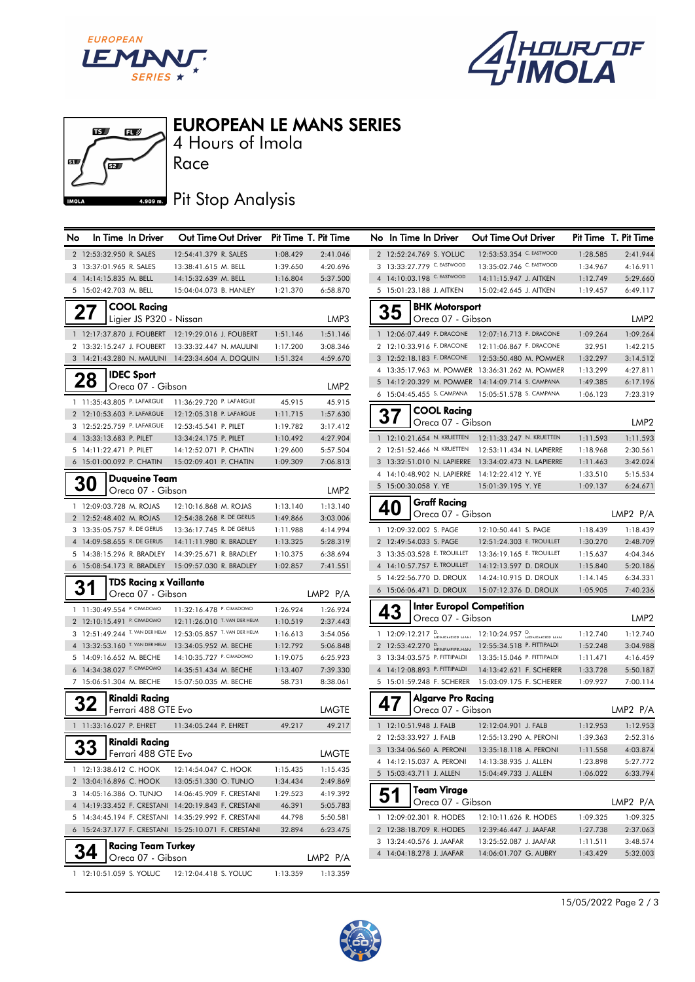



 $\mathbf{E}$  $\mathbf{u}$ 4 Hours of Imola Race 麻草 心  $4.909 m.$ **IMOL** 

EUROPEAN LE MANS SERIES

## Pit Stop Analysis

| No | In Time In Driver                                    | Out Time Out Driver Pit Time T. Pit Time            |                      |                      | No In Time In Driver                          | Out Time Out Driver                                             |          | Pit Time T. Pit Time |
|----|------------------------------------------------------|-----------------------------------------------------|----------------------|----------------------|-----------------------------------------------|-----------------------------------------------------------------|----------|----------------------|
|    | 2 12:53:32.950 R. SALES                              | 12:54:41.379 R. SALES                               | 1:08.429             | 2:41.046             | 2 12:52:24.769 S. YOLUC                       | 12:53:53.354 C. EASTWOOD                                        | 1:28.585 | 2:41.944             |
|    | 3 13:37:01.965 R. SALES                              | 13:38:41.615 M. BELL                                | 1:39.650             | 4:20.696             | 3 13:33:27.779 C. EASTWOOD                    | 13:35:02.746 C. EASTWOOD                                        | 1:34.967 | 4:16.911             |
|    | 4 14:14:15.835 M. BELL                               | 14:15:32.639 M. BELL                                | 1:16.804             | 5:37.500             | 4 14:10:03.198 C. EASTWOOD                    | 14:11:15.947 J. AITKEN                                          | 1:12.749 | 5:29.660             |
|    | 5 15:02:42.703 M. BELL                               | 15:04:04.073 B. HANLEY                              | 1:21.370             | 6:58.870             | 5 15:01:23.188 J. AITKEN                      | 15:02:42.645 J. AITKEN                                          | 1:19.457 | 6:49.117             |
|    | <b>COOL Racing</b>                                   |                                                     |                      |                      | <b>BHK Motorsport</b>                         |                                                                 |          |                      |
|    | 27<br>Ligier JS P320 - Nissan                        |                                                     |                      | LMP3                 | 35<br>Oreca 07 - Gibson                       |                                                                 |          | LMP <sub>2</sub>     |
|    |                                                      | 1 12:17:37.870 J. FOUBERT 12:19:29.016 J. FOUBERT   | 1:51.146             | 1:51.146             | 1 12:06:07.449 F. DRACONE                     | 12:07:16.713 F. DRACONE                                         | 1:09.264 | 1:09.264             |
|    |                                                      | 2 13:32:15.247 J. FOUBERT 13:33:32.447 N. MAULINI   | 1:17.200             | 3:08.346             | 2 12:10:33.916 F. DRACONE                     | 12:11:06.867 F. DRACONE                                         | 32.951   | 1:42.215             |
|    |                                                      | 3 14:21:43.280 N. MAULINI  14:23:34.604 A. DOQUIN   | 1:51.324             | 4:59.670             | 3 12:52:18.183 F. DRACONE                     | 12:53:50.480 M. POMMER                                          | 1:32.297 | 3:14.512             |
|    |                                                      |                                                     |                      |                      |                                               | 4 13:35:17.963 M. POMMER 13:36:31.262 M. POMMER                 | 1:13.299 | 4:27.811             |
|    | <b>IDEC Sport</b><br>28                              |                                                     |                      |                      |                                               | 5 14:12:20.329 M. POMMER 14:14:09.714 S. CAMPANA                | 1:49.385 | 6:17.196             |
|    | Oreca 07 - Gibson                                    |                                                     |                      | LMP2                 | 6 15:04:45.455 S. CAMPANA                     | 15:05:51.578 S. CAMPANA                                         | 1:06.123 | 7:23.319             |
|    | 1 11:35:43.805 P. LAFARGUE                           | 11:36:29.720 P. LAFARGUE                            | 45.915               | 45.915               |                                               |                                                                 |          |                      |
|    | 2 12:10:53.603 P. LAFARGUE                           | 12:12:05.318 P. LAFARGUE                            | 1:11.715             | 1:57.630             | <b>COOL Racing</b><br>37                      |                                                                 |          |                      |
|    | 3 12:52:25.759 P. LAFARGUE                           | 12:53:45.541 P. PILET                               | 1:19.782             | 3:17.412             | Oreca 07 - Gibson                             |                                                                 |          | LMP <sub>2</sub>     |
|    | 4 13:33:13.683 P. PILET                              | 13:34:24.175 P. PILET                               | 1:10.492             | 4:27.904             |                                               | 1 12:10:21.654 N. KRUETTEN 12:11:33.247 N. KRUETTEN             | 1:11.593 | 1:11.593             |
|    | 5 14:11:22.471 P. PILET                              | 14:12:52.071 P. CHATIN                              | 1:29.600             | 5:57.504             |                                               | 2 12:51:52.466 N. KRUETTEN  12:53:11.434 N. LAPIERRE            | 1:18.968 | 2:30.561             |
|    | 6 15:01:00.092 P. CHATIN                             | 15:02:09.401 P. CHATIN                              | 1:09.309             | 7:06.813             |                                               | 3 13:32:51.010 N. LAPIERRE 13:34:02.473 N. LAPIERRE             | 1:11.463 | 3:42.024             |
|    | <b>Duaueine Team</b>                                 |                                                     |                      |                      | 4 14:10:48.902 N. LAPIERRE 14:12:22.412 Y. YE |                                                                 | 1:33.510 | 5:15.534             |
|    | <b>30</b><br>Oreca 07 - Gibson                       |                                                     |                      | LMP <sub>2</sub>     | 5 15:00:30.058 Y. YE                          | 15:01:39.195 Y. YE                                              | 1:09.137 | 6:24.671             |
|    | 1 12:09:03.728 M. ROJAS                              | 12:10:16.868 M. ROJAS                               | 1:13.140             | 1:13.140             | <b>Graff Racing</b>                           |                                                                 |          |                      |
|    | 2 12:52:48.402 M. ROJAS                              | 12:54:38.268 R. DE GERUS                            | 1:49.866             | 3:03.006             | 40<br>Oreca 07 - Gibson                       |                                                                 |          | LMP2 P/A             |
|    | 3 13:35:05.757 R. DE GERUS                           | 13:36:17.745 R. DE GERUS                            | 1:11.988             | 4:14.994             | 1 12:09:32.002 S. PAGE                        | 12:10:50.441 S. PAGE                                            | 1:18.439 | 1:18.439             |
|    | 4 14:09:58.655 R. DE GERUS                           | 14:11:11.980 R. BRADLEY                             | 1:13.325             | 5:28.319             | 2 12:49:54.033 S. PAGE                        | 12:51:24.303 E. TROUILLET                                       | 1:30.270 | 2:48.709             |
|    | 5 14:38:15.296 R. BRADLEY                            | 14:39:25.671 R. BRADLEY                             | 1:10.375             | 6:38.694             | 3 13:35:03.528 E. TROUILLET                   | 13:36:19.165 E. TROUILLET                                       | 1:15.637 | 4:04.346             |
|    | 6 15:08:54.173 R. BRADLEY                            | 15:09:57.030 R. BRADLEY                             | 1:02.857             | 7:41.551             | 4 14:10:57.757 E. TROUILLET                   | 14:12:13.597 D. DROUX                                           | 1:15.840 | 5:20.186             |
|    | <b>TDS Racing x Vaillante</b>                        |                                                     |                      |                      | 5 14:22:56.770 D. DROUX                       | 14:24:10.915 D. DROUX                                           | 1:14.145 | 6:34.331             |
|    | 31<br>Oreca 07 - Gibson                              |                                                     |                      | LMP2 P/A             | 6 15:06:06.471 D. DROUX                       | 15:07:12.376 D. DROUX                                           | 1:05.905 | 7:40.236             |
|    | 1 11:30:49.554 P. CIMADOMO                           | 11:32:16.478 P. CIMADOMO                            |                      |                      |                                               | <b>Inter Europol Competition</b>                                |          |                      |
|    | 2 12:10:15.491 P. CIMADOMO                           | 12:11:26.010 T. VAN DER HELM                        | 1:26.924<br>1:10.519 | 1:26.924<br>2:37.443 | 43<br>Oreca 07 - Gibson                       |                                                                 |          | LMP <sub>2</sub>     |
|    | 3 12:51:49.244 T. VAN DER HELM                       | 12:53:05.857 T. VAN DER HELM                        | 1:16.613             | 3:54.056             |                                               | 1 12:09:12.217 D. HEINIFAAEIED HANI 12:10:24.957 D.             | 1:12.740 | 1:12.740             |
|    | 4 13:32:53.160 T. VAN DER HELM                       | 13:34:05.952 M. BECHE                               | 1:12.792             | 5:06.848             |                                               | 2 12:53:42.270 D. Distribution Links 12:55:34.518 P. FITTIPALDI | 1:52.248 | 3:04.988             |
|    | 5 14:09:16.652 M. BECHE                              | 14:10:35.727 P. CIMADOMO                            | 1:19.075             | 6:25.923             | 3 13:34:03.575 P. FITTIPALDI                  | 13:35:15.046 P. FITTIPALDI                                      | 1:11.471 | 4:16.459             |
|    | 6 14:34:38.027 P. CIMADOMO                           | 14:35:51.434 M. BECHE                               | 1:13.407             | 7:39.330             | 4 14:12:08.893 P. FITTIPALDI                  | 14:13:42.621 F. SCHERER                                         | 1:33.728 | 5:50.187             |
|    | 7 15:06:51.304 M. BECHE                              | 15:07:50.035 M. BECHE                               | 58.731               | 8:38.061             |                                               | 5 15:01:59.248 F. SCHERER  15:03:09.175 F. SCHERER              | 1:09.927 | 7:00.114             |
|    |                                                      |                                                     |                      |                      |                                               |                                                                 |          |                      |
|    | Rinaldi Racing<br>32                                 |                                                     |                      |                      | Algarve Pro Racing<br>47                      |                                                                 |          |                      |
|    | Ferrari 488 GTE Evo                                  |                                                     |                      | LMGTE                | Oreca 07 - Gibson                             |                                                                 |          | LMP2 P/A             |
|    | 1 11:33:16.027 P. EHRET                              | 11:34:05.244 P. EHRET                               | 49.217               | 49.217               | 1 12:10:51.948 J. FALB                        | 12:12:04.901 J. FALB                                            | 1:12.953 | 1:12.953             |
|    | <b>Rinaldi Racing</b>                                |                                                     |                      |                      | 2 12:53:33.927 J. FALB                        | 12:55:13.290 A. PERONI                                          | 1:39.363 | 2:52.316             |
|    | 33<br>Ferrari 488 GTE Evo                            |                                                     |                      | <b>LMGTE</b>         | 3 13:34:06.560 A. PERONI                      | 13:35:18.118 A. PERONI                                          | 1:11.558 | 4:03.874             |
|    | 1 12:13:38.612 C. HOOK                               | 12:14:54.047 C. HOOK                                | 1:15.435             | 1:15.435             | 4 14:12:15.037 A. PERONI                      | 14:13:38.935 J. ALLEN                                           | 1:23.898 | 5:27.772             |
|    | 2 13:04:16.896 C. HOOK                               | 13:05:51.330 O. TUNJO                               | 1:34.434             | 2:49.869             | 5 15:03:43.711 J. ALLEN                       | 15:04:49.733 J. ALLEN                                           | 1:06.022 | 6:33.794             |
|    | 3 14:05:16.386 O. TUNJO                              | 14:06:45.909 F. CRESTANI                            | 1:29.523             | 4:19.392             | Team Virage<br>51                             |                                                                 |          |                      |
|    |                                                      | 4 14:19:33.452 F. CRESTANI 14:20:19.843 F. CRESTANI | 46.391               | 5:05.783             | Oreca 07 - Gibson                             |                                                                 |          | LMP2 P/A             |
|    |                                                      | 5 14:34:45.194 F. CRESTANI 14:35:29.992 F. CRESTANI | 44.798               | 5:50.581             | 1 12:09:02.301 R. HODES                       | 12:10:11.626 R. HODES                                           | 1:09.325 | 1:09.325             |
|    |                                                      | 6 15:24:37.177 F. CRESTANI 15:25:10.071 F. CRESTANI | 32.894               | 6:23.475             | 2 12:38:18.709 R. HODES                       | 12:39:46.447 J. JAAFAR                                          | 1:27.738 | 2:37.063             |
|    |                                                      |                                                     |                      |                      | 3 13:24:40.576 J. JAAFAR                      | 13:25:52.087 J. JAAFAR                                          | 1:11.511 | 3:48.574             |
|    | <b>Racing Team Turkey</b><br>34<br>Oreca 07 - Gibson |                                                     |                      |                      | 4 14:04:18.278 J. JAAFAR                      | 14:06:01.707 G. AUBRY                                           | 1:43.429 | 5:32.003             |
|    |                                                      |                                                     |                      | LMP2 P/A             |                                               |                                                                 |          |                      |
|    | 1 12:10:51.059 S. YOLUC                              | 12:12:04.418 S. YOLUC                               | 1:13.359             | 1:13.359             |                                               |                                                                 |          |                      |